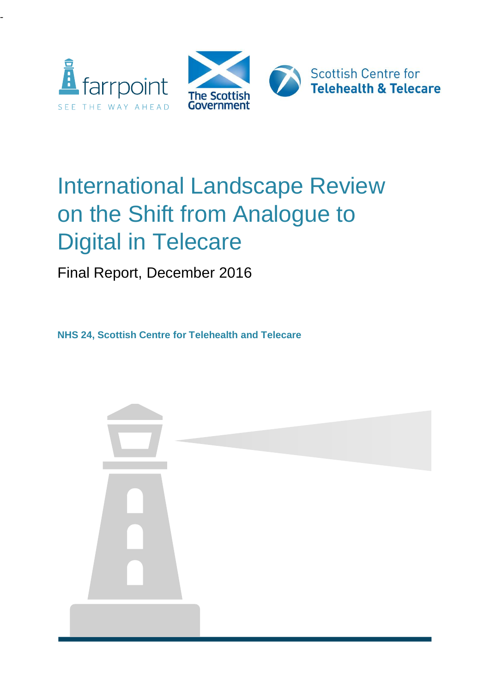

-



# International Landscape Review on the Shift from Analogue to Digital in Telecare

Final Report, December 2016

**NHS 24, Scottish Centre for Telehealth and Telecare** 

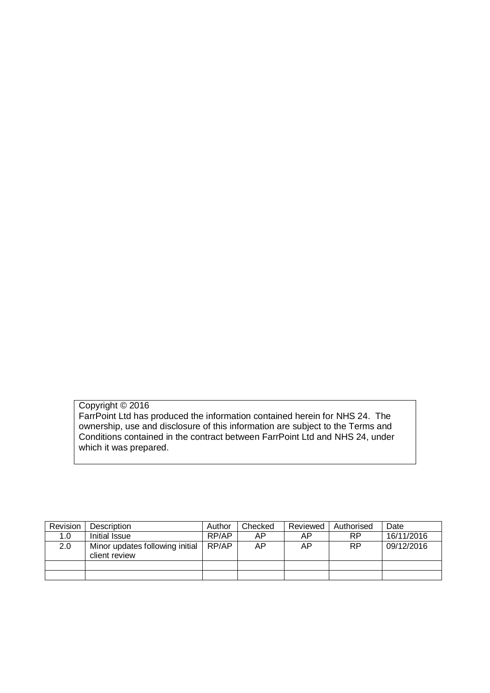Copyright © 2016 FarrPoint Ltd has produced the information contained herein for NHS 24. The ownership, use and disclosure of this information are subject to the Terms and Conditions contained in the contract between FarrPoint Ltd and NHS 24, under which it was prepared.

| Revision | Description                                      | Author | Checked | Reviewed | Authorised | Date       |
|----------|--------------------------------------------------|--------|---------|----------|------------|------------|
| 1.0      | Initial Issue                                    | RP/AP  | ΑP      | AP.      | <b>RP</b>  | 16/11/2016 |
| 2.0      | Minor updates following initial<br>client review | RP/AP  | ΑP      | AP.      | <b>RP</b>  | 09/12/2016 |
|          |                                                  |        |         |          |            |            |
|          |                                                  |        |         |          |            |            |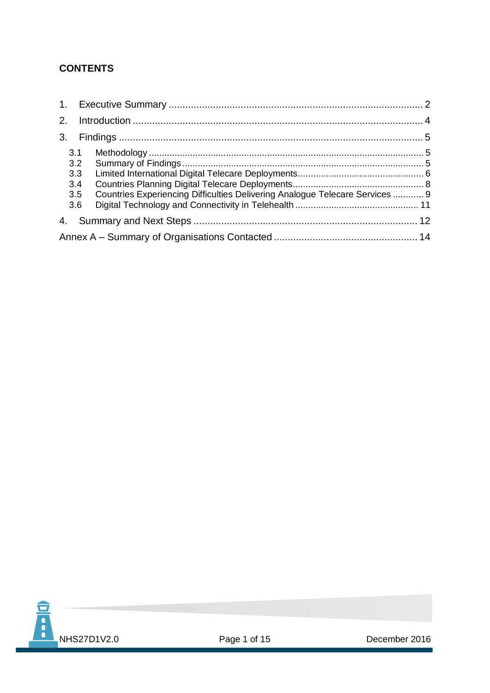## **CONTENTS**

| 2.                       |                                                                              |  |  |  |
|--------------------------|------------------------------------------------------------------------------|--|--|--|
| 3 <sub>1</sub>           |                                                                              |  |  |  |
| 3.1<br>3.2<br>3.3<br>3.4 |                                                                              |  |  |  |
| 3.5<br>3.6               | Countries Experiencing Difficulties Delivering Analogue Telecare Services  9 |  |  |  |
| 4.                       |                                                                              |  |  |  |
|                          |                                                                              |  |  |  |

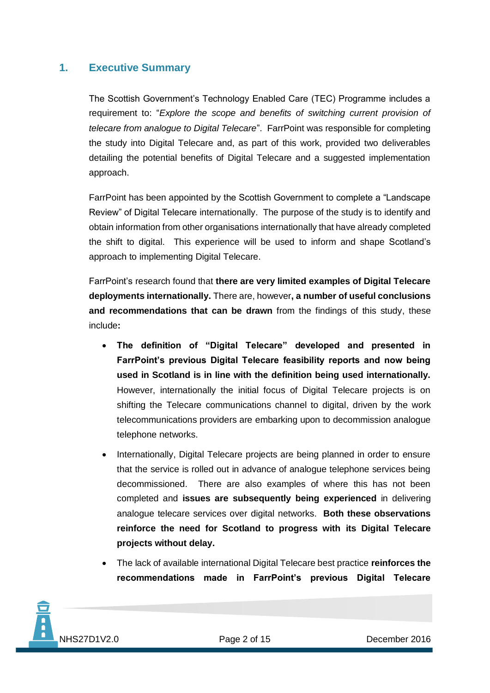## <span id="page-3-0"></span>**1. Executive Summary**

The Scottish Government's Technology Enabled Care (TEC) Programme includes a requirement to: "*Explore the scope and benefits of switching current provision of telecare from analogue to Digital Telecare*". FarrPoint was responsible for completing the study into Digital Telecare and, as part of this work, provided two deliverables detailing the potential benefits of Digital Telecare and a suggested implementation approach.

FarrPoint has been appointed by the Scottish Government to complete a "Landscape Review" of Digital Telecare internationally. The purpose of the study is to identify and obtain information from other organisations internationally that have already completed the shift to digital. This experience will be used to inform and shape Scotland's approach to implementing Digital Telecare.

FarrPoint's research found that **there are very limited examples of Digital Telecare deployments internationally.** There are, however**, a number of useful conclusions and recommendations that can be drawn** from the findings of this study, these include**:**

- **The definition of "Digital Telecare" developed and presented in FarrPoint's previous Digital Telecare feasibility reports and now being used in Scotland is in line with the definition being used internationally.** However, internationally the initial focus of Digital Telecare projects is on shifting the Telecare communications channel to digital, driven by the work telecommunications providers are embarking upon to decommission analogue telephone networks.
- Internationally, Digital Telecare projects are being planned in order to ensure that the service is rolled out in advance of analogue telephone services being decommissioned. There are also examples of where this has not been completed and **issues are subsequently being experienced** in delivering analogue telecare services over digital networks. **Both these observations reinforce the need for Scotland to progress with its Digital Telecare projects without delay.**
- The lack of available international Digital Telecare best practice **reinforces the recommendations made in FarrPoint's previous Digital Telecare**

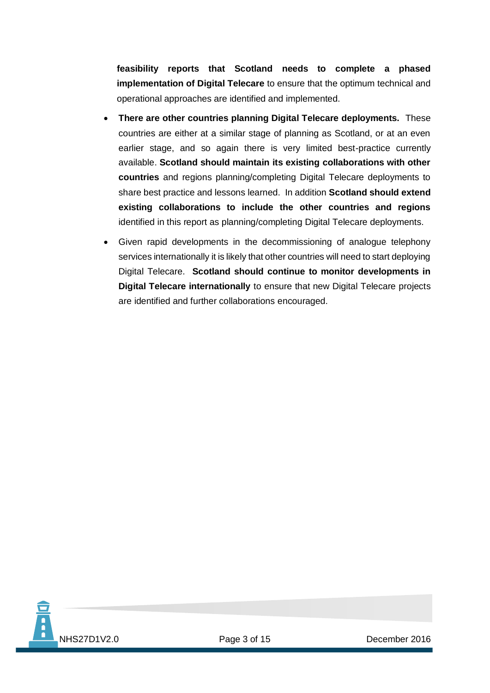**feasibility reports that Scotland needs to complete a phased implementation of Digital Telecare** to ensure that the optimum technical and operational approaches are identified and implemented.

- **There are other countries planning Digital Telecare deployments.** These countries are either at a similar stage of planning as Scotland, or at an even earlier stage, and so again there is very limited best-practice currently available. **Scotland should maintain its existing collaborations with other countries** and regions planning/completing Digital Telecare deployments to share best practice and lessons learned. In addition **Scotland should extend existing collaborations to include the other countries and regions** identified in this report as planning/completing Digital Telecare deployments.
- Given rapid developments in the decommissioning of analogue telephony services internationally it is likely that other countries will need to start deploying Digital Telecare. **Scotland should continue to monitor developments in Digital Telecare internationally** to ensure that new Digital Telecare projects are identified and further collaborations encouraged.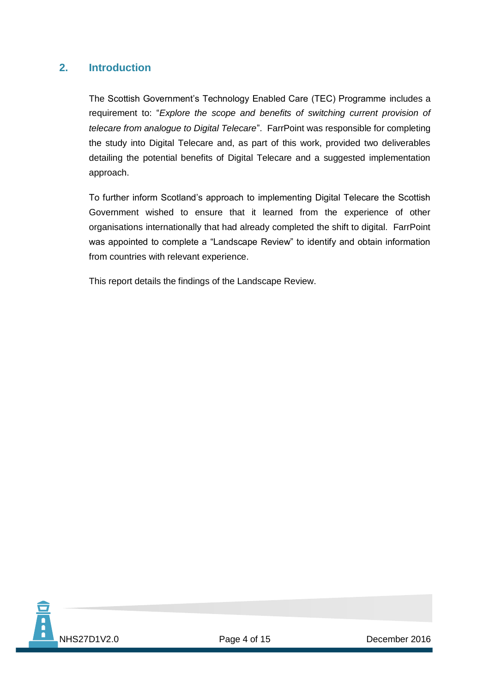## <span id="page-5-0"></span>**2. Introduction**

The Scottish Government's Technology Enabled Care (TEC) Programme includes a requirement to: "*Explore the scope and benefits of switching current provision of telecare from analogue to Digital Telecare*". FarrPoint was responsible for completing the study into Digital Telecare and, as part of this work, provided two deliverables detailing the potential benefits of Digital Telecare and a suggested implementation approach.

To further inform Scotland's approach to implementing Digital Telecare the Scottish Government wished to ensure that it learned from the experience of other organisations internationally that had already completed the shift to digital. FarrPoint was appointed to complete a "Landscape Review" to identify and obtain information from countries with relevant experience.

This report details the findings of the Landscape Review.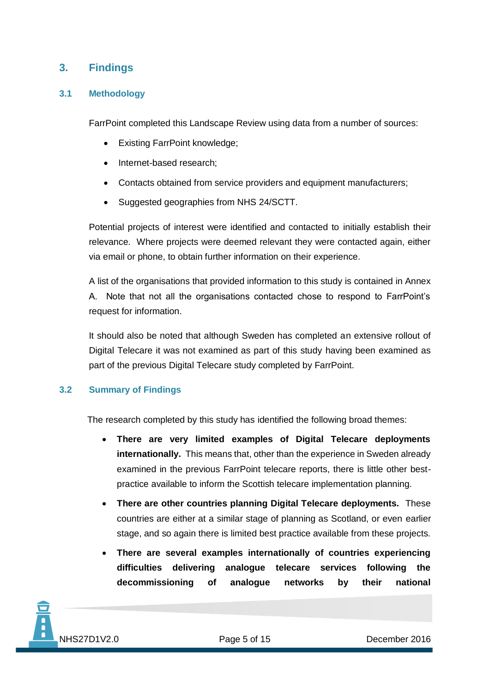## <span id="page-6-0"></span>**3. Findings**

#### <span id="page-6-1"></span>**3.1 Methodology**

FarrPoint completed this Landscape Review using data from a number of sources:

- Existing FarrPoint knowledge;
- Internet-based research;
- Contacts obtained from service providers and equipment manufacturers;
- Suggested geographies from NHS 24/SCTT.

Potential projects of interest were identified and contacted to initially establish their relevance. Where projects were deemed relevant they were contacted again, either via email or phone, to obtain further information on their experience.

A list of the organisations that provided information to this study is contained in Annex A. Note that not all the organisations contacted chose to respond to FarrPoint's request for information.

It should also be noted that although Sweden has completed an extensive rollout of Digital Telecare it was not examined as part of this study having been examined as part of the previous Digital Telecare study completed by FarrPoint.

#### <span id="page-6-2"></span>**3.2 Summary of Findings**

The research completed by this study has identified the following broad themes:

- **There are very limited examples of Digital Telecare deployments internationally.** This means that, other than the experience in Sweden already examined in the previous FarrPoint telecare reports, there is little other bestpractice available to inform the Scottish telecare implementation planning.
- **There are other countries planning Digital Telecare deployments.** These countries are either at a similar stage of planning as Scotland, or even earlier stage, and so again there is limited best practice available from these projects.
- **There are several examples internationally of countries experiencing difficulties delivering analogue telecare services following the decommissioning of analogue networks by their national**

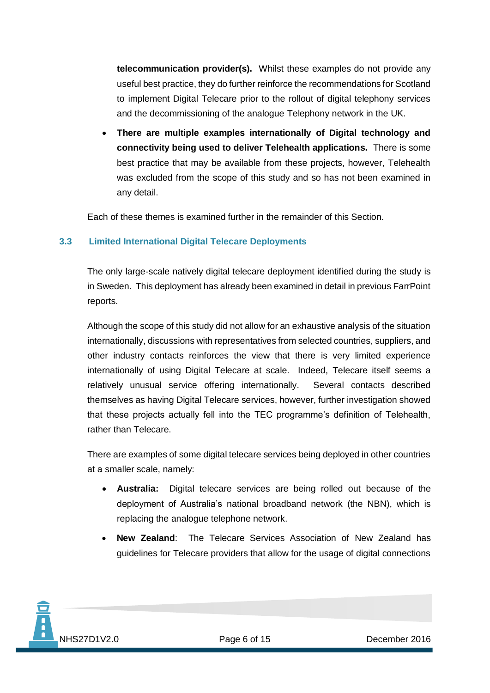**telecommunication provider(s).** Whilst these examples do not provide any useful best practice, they do further reinforce the recommendations for Scotland to implement Digital Telecare prior to the rollout of digital telephony services and the decommissioning of the analogue Telephony network in the UK.

 **There are multiple examples internationally of Digital technology and connectivity being used to deliver Telehealth applications.** There is some best practice that may be available from these projects, however, Telehealth was excluded from the scope of this study and so has not been examined in any detail.

Each of these themes is examined further in the remainder of this Section.

#### <span id="page-7-0"></span>**3.3 Limited International Digital Telecare Deployments**

The only large-scale natively digital telecare deployment identified during the study is in Sweden. This deployment has already been examined in detail in previous FarrPoint reports.

Although the scope of this study did not allow for an exhaustive analysis of the situation internationally, discussions with representatives from selected countries, suppliers, and other industry contacts reinforces the view that there is very limited experience internationally of using Digital Telecare at scale. Indeed, Telecare itself seems a relatively unusual service offering internationally. Several contacts described themselves as having Digital Telecare services, however, further investigation showed that these projects actually fell into the TEC programme's definition of Telehealth, rather than Telecare.

There are examples of some digital telecare services being deployed in other countries at a smaller scale, namely:

- **Australia:** Digital telecare services are being rolled out because of the deployment of Australia's national broadband network (the NBN), which is replacing the analogue telephone network.
- **New Zealand**: The Telecare Services Association of New Zealand has guidelines for Telecare providers that allow for the usage of digital connections

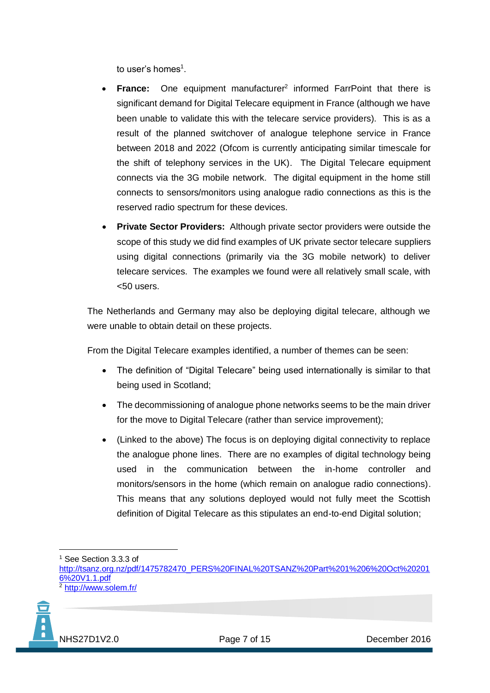to user's homes<sup>1</sup>.

- France: One equipment manufacturer<sup>2</sup> informed FarrPoint that there is significant demand for Digital Telecare equipment in France (although we have been unable to validate this with the telecare service providers). This is as a result of the planned switchover of analogue telephone service in France between 2018 and 2022 (Ofcom is currently anticipating similar timescale for the shift of telephony services in the UK). The Digital Telecare equipment connects via the 3G mobile network. The digital equipment in the home still connects to sensors/monitors using analogue radio connections as this is the reserved radio spectrum for these devices.
- **Private Sector Providers:** Although private sector providers were outside the scope of this study we did find examples of UK private sector telecare suppliers using digital connections (primarily via the 3G mobile network) to deliver telecare services. The examples we found were all relatively small scale, with <50 users.

The Netherlands and Germany may also be deploying digital telecare, although we were unable to obtain detail on these projects.

From the Digital Telecare examples identified, a number of themes can be seen:

- The definition of "Digital Telecare" being used internationally is similar to that being used in Scotland;
- The decommissioning of analogue phone networks seems to be the main driver for the move to Digital Telecare (rather than service improvement):
- (Linked to the above) The focus is on deploying digital connectivity to replace the analogue phone lines. There are no examples of digital technology being used in the communication between the in-home controller and monitors/sensors in the home (which remain on analogue radio connections). This means that any solutions deployed would not fully meet the Scottish definition of Digital Telecare as this stipulates an end-to-end Digital solution;

<sup>2</sup> <http://www.solem.fr/>



<sup>1</sup> <sup>1</sup> See Section 3.3.3 of

[http://tsanz.org.nz/pdf/1475782470\\_PERS%20FINAL%20TSANZ%20Part%201%206%20Oct%20201](http://tsanz.org.nz/pdf/1475782470_PERS%20FINAL%20TSANZ%20Part%201%206%20Oct%202016%20V1.1.pdf) [6%20V1.1.pdf](http://tsanz.org.nz/pdf/1475782470_PERS%20FINAL%20TSANZ%20Part%201%206%20Oct%202016%20V1.1.pdf)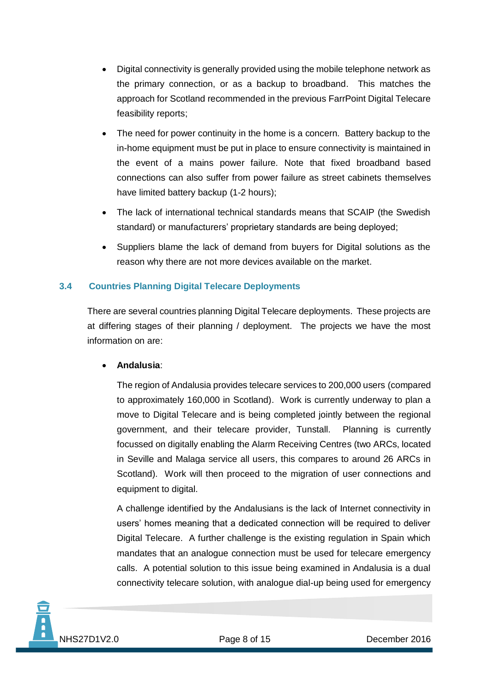- Digital connectivity is generally provided using the mobile telephone network as the primary connection, or as a backup to broadband. This matches the approach for Scotland recommended in the previous FarrPoint Digital Telecare feasibility reports;
- The need for power continuity in the home is a concern. Battery backup to the in-home equipment must be put in place to ensure connectivity is maintained in the event of a mains power failure. Note that fixed broadband based connections can also suffer from power failure as street cabinets themselves have limited battery backup (1-2 hours);
- The lack of international technical standards means that SCAIP (the Swedish standard) or manufacturers' proprietary standards are being deployed;
- Suppliers blame the lack of demand from buyers for Digital solutions as the reason why there are not more devices available on the market.

## <span id="page-9-0"></span>**3.4 Countries Planning Digital Telecare Deployments**

There are several countries planning Digital Telecare deployments. These projects are at differing stages of their planning / deployment. The projects we have the most information on are:

#### **Andalusia**:

The region of Andalusia provides telecare services to 200,000 users (compared to approximately 160,000 in Scotland). Work is currently underway to plan a move to Digital Telecare and is being completed jointly between the regional government, and their telecare provider, Tunstall. Planning is currently focussed on digitally enabling the Alarm Receiving Centres (two ARCs, located in Seville and Malaga service all users, this compares to around 26 ARCs in Scotland). Work will then proceed to the migration of user connections and equipment to digital.

A challenge identified by the Andalusians is the lack of Internet connectivity in users' homes meaning that a dedicated connection will be required to deliver Digital Telecare. A further challenge is the existing regulation in Spain which mandates that an analogue connection must be used for telecare emergency calls. A potential solution to this issue being examined in Andalusia is a dual connectivity telecare solution, with analogue dial-up being used for emergency

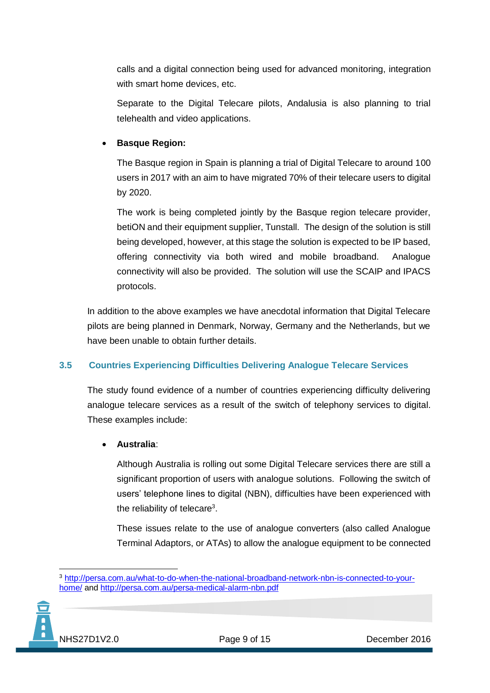calls and a digital connection being used for advanced monitoring, integration with smart home devices, etc.

Separate to the Digital Telecare pilots, Andalusia is also planning to trial telehealth and video applications.

## **Basque Region:**

The Basque region in Spain is planning a trial of Digital Telecare to around 100 users in 2017 with an aim to have migrated 70% of their telecare users to digital by 2020.

The work is being completed jointly by the Basque region telecare provider, betiON and their equipment supplier, Tunstall. The design of the solution is still being developed, however, at this stage the solution is expected to be IP based, offering connectivity via both wired and mobile broadband. Analogue connectivity will also be provided. The solution will use the SCAIP and IPACS protocols.

In addition to the above examples we have anecdotal information that Digital Telecare pilots are being planned in Denmark, Norway, Germany and the Netherlands, but we have been unable to obtain further details.

## <span id="page-10-0"></span>**3.5 Countries Experiencing Difficulties Delivering Analogue Telecare Services**

The study found evidence of a number of countries experiencing difficulty delivering analogue telecare services as a result of the switch of telephony services to digital. These examples include:

## **Australia**:

Although Australia is rolling out some Digital Telecare services there are still a significant proportion of users with analogue solutions. Following the switch of users' telephone lines to digital (NBN), difficulties have been experienced with the reliability of telecare<sup>3</sup>.

These issues relate to the use of analogue converters (also called Analogue Terminal Adaptors, or ATAs) to allow the analogue equipment to be connected

<sup>&</sup>lt;u>.</u> <sup>3</sup> [http://persa.com.au/what-to-do-when-the-national-broadband-network-nbn-is-connected-to-your](http://persa.com.au/what-to-do-when-the-national-broadband-network-nbn-is-connected-to-your-home/)[home/](http://persa.com.au/what-to-do-when-the-national-broadband-network-nbn-is-connected-to-your-home/) and<http://persa.com.au/persa-medical-alarm-nbn.pdf>

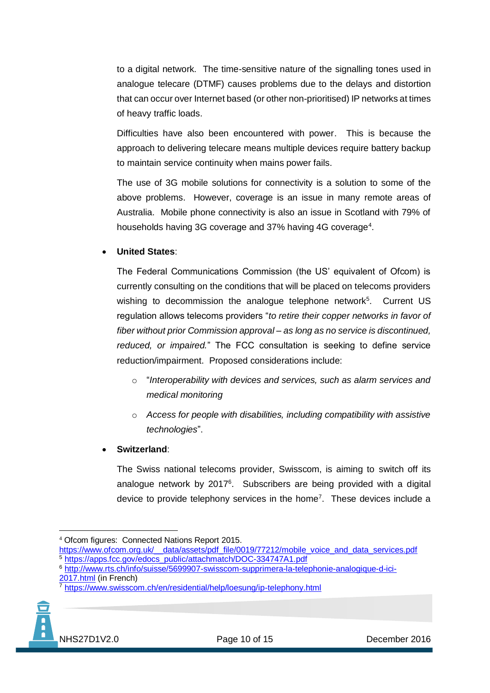to a digital network. The time-sensitive nature of the signalling tones used in analogue telecare (DTMF) causes problems due to the delays and distortion that can occur over Internet based (or other non-prioritised) IP networks at times of heavy traffic loads.

Difficulties have also been encountered with power. This is because the approach to delivering telecare means multiple devices require battery backup to maintain service continuity when mains power fails.

The use of 3G mobile solutions for connectivity is a solution to some of the above problems. However, coverage is an issue in many remote areas of Australia. Mobile phone connectivity is also an issue in Scotland with 79% of households having 3G coverage and 37% having 4G coverage<sup>4</sup>.

#### **United States**:

The Federal Communications Commission (the US' equivalent of Ofcom) is currently consulting on the conditions that will be placed on telecoms providers wishing to decommission the analogue telephone network<sup>5</sup>. Current US regulation allows telecoms providers "*to retire their copper networks in favor of fiber without prior Commission approval – as long as no service is discontinued, reduced, or impaired.*" The FCC consultation is seeking to define service reduction/impairment. Proposed considerations include:

- o "*Interoperability with devices and services, such as alarm services and medical monitoring*
- o *Access for people with disabilities, including compatibility with assistive technologies*".

#### **Switzerland**:

The Swiss national telecoms provider, Swisscom, is aiming to switch off its analogue network by 2017<sup>6</sup>. Subscribers are being provided with a digital device to provide telephony services in the home<sup>7</sup>. These devices include a

<sup>7</sup> <https://www.swisscom.ch/en/residential/help/loesung/ip-telephony.html>



<sup>&</sup>lt;u>.</u> <sup>4</sup> Ofcom figures: Connected Nations Report 2015.

https://www.ofcom.org.uk/\_data/assets/pdf\_file/0019/77212/mobile\_voice\_and\_data\_services.pdf <sup>5</sup> [https://apps.fcc.gov/edocs\\_public/attachmatch/DOC-334747A1.pdf](https://apps.fcc.gov/edocs_public/attachmatch/DOC-334747A1.pdf)

<sup>6</sup> [http://www.rts.ch/info/suisse/5699907-swisscom-supprimera-la-telephonie-analogique-d-ici-](http://www.rts.ch/info/suisse/5699907-swisscom-supprimera-la-telephonie-analogique-d-ici-2017.html)[2017.html](http://www.rts.ch/info/suisse/5699907-swisscom-supprimera-la-telephonie-analogique-d-ici-2017.html) (in French)<br>
<sup>2</sup> https://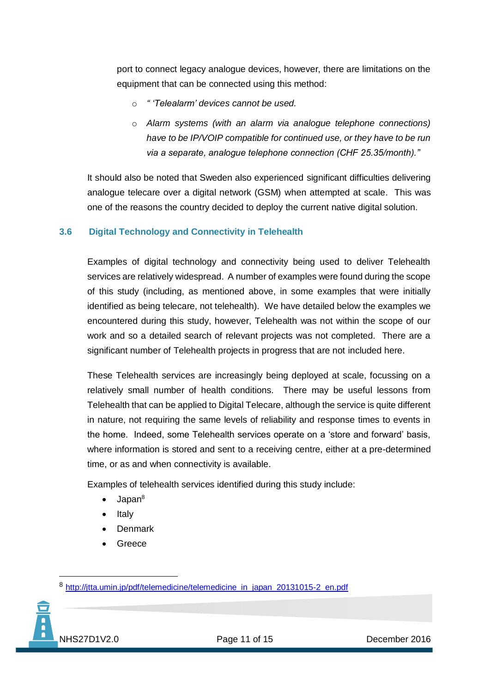port to connect legacy analogue devices, however, there are limitations on the equipment that can be connected using this method:

- o *" 'Telealarm' devices cannot be used.*
- o *Alarm systems (with an alarm via analogue telephone connections) have to be IP/VOIP compatible for continued use, or they have to be run via a separate, analogue telephone connection (CHF 25.35/month)."*

It should also be noted that Sweden also experienced significant difficulties delivering analogue telecare over a digital network (GSM) when attempted at scale. This was one of the reasons the country decided to deploy the current native digital solution.

#### <span id="page-12-0"></span>**3.6 Digital Technology and Connectivity in Telehealth**

Examples of digital technology and connectivity being used to deliver Telehealth services are relatively widespread. A number of examples were found during the scope of this study (including, as mentioned above, in some examples that were initially identified as being telecare, not telehealth). We have detailed below the examples we encountered during this study, however, Telehealth was not within the scope of our work and so a detailed search of relevant projects was not completed. There are a significant number of Telehealth projects in progress that are not included here.

These Telehealth services are increasingly being deployed at scale, focussing on a relatively small number of health conditions. There may be useful lessons from Telehealth that can be applied to Digital Telecare, although the service is quite different in nature, not requiring the same levels of reliability and response times to events in the home. Indeed, some Telehealth services operate on a 'store and forward' basis, where information is stored and sent to a receiving centre, either at a pre-determined time, or as and when connectivity is available.

Examples of telehealth services identified during this study include:

- $\bullet$  Japan<sup>8</sup>
- $\bullet$  Italy
- **Denmark**
- Greece

<sup>8</sup> [http://jtta.umin.jp/pdf/telemedicine/telemedicine\\_in\\_japan\\_20131015-2\\_en.pdf](http://jtta.umin.jp/pdf/telemedicine/telemedicine_in_japan_20131015-2_en.pdf)



1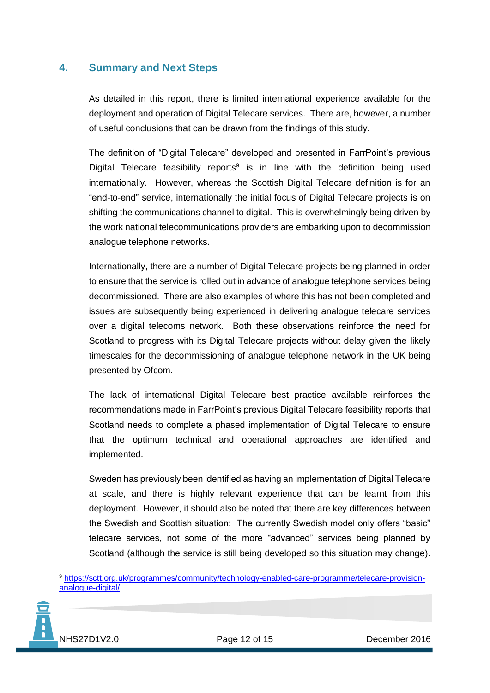## <span id="page-13-0"></span>**4. Summary and Next Steps**

As detailed in this report, there is limited international experience available for the deployment and operation of Digital Telecare services. There are, however, a number of useful conclusions that can be drawn from the findings of this study.

The definition of "Digital Telecare" developed and presented in FarrPoint's previous Digital Telecare feasibility reports<sup>9</sup> is in line with the definition being used internationally. However, whereas the Scottish Digital Telecare definition is for an "end-to-end" service, internationally the initial focus of Digital Telecare projects is on shifting the communications channel to digital. This is overwhelmingly being driven by the work national telecommunications providers are embarking upon to decommission analogue telephone networks.

Internationally, there are a number of Digital Telecare projects being planned in order to ensure that the service is rolled out in advance of analogue telephone services being decommissioned. There are also examples of where this has not been completed and issues are subsequently being experienced in delivering analogue telecare services over a digital telecoms network. Both these observations reinforce the need for Scotland to progress with its Digital Telecare projects without delay given the likely timescales for the decommissioning of analogue telephone network in the UK being presented by Ofcom.

The lack of international Digital Telecare best practice available reinforces the recommendations made in FarrPoint's previous Digital Telecare feasibility reports that Scotland needs to complete a phased implementation of Digital Telecare to ensure that the optimum technical and operational approaches are identified and implemented.

Sweden has previously been identified as having an implementation of Digital Telecare at scale, and there is highly relevant experience that can be learnt from this deployment. However, it should also be noted that there are key differences between the Swedish and Scottish situation: The currently Swedish model only offers "basic" telecare services, not some of the more "advanced" services being planned by Scotland (although the service is still being developed so this situation may change).

<sup>9</sup> [https://sctt.org.uk/programmes/community/technology-enabled-care-programme/telecare-provision](https://sctt.org.uk/programmes/community/technology-enabled-care-programme/telecare-provision-analogue-digital/)[analogue-digital/](https://sctt.org.uk/programmes/community/technology-enabled-care-programme/telecare-provision-analogue-digital/)



<u>.</u>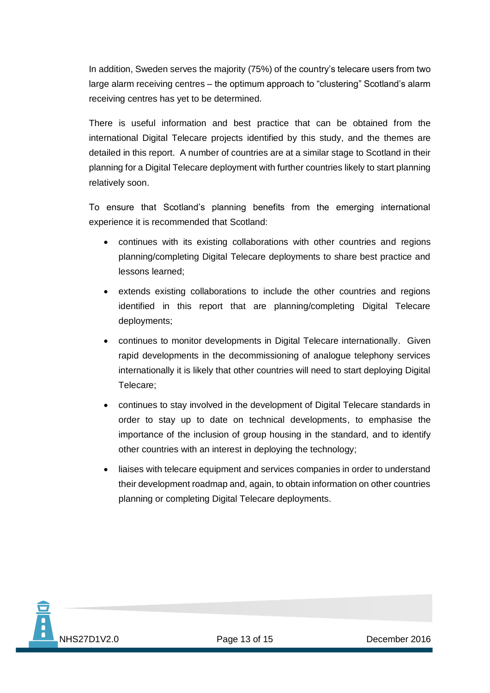In addition, Sweden serves the majority (75%) of the country's telecare users from two large alarm receiving centres – the optimum approach to "clustering" Scotland's alarm receiving centres has yet to be determined.

There is useful information and best practice that can be obtained from the international Digital Telecare projects identified by this study, and the themes are detailed in this report. A number of countries are at a similar stage to Scotland in their planning for a Digital Telecare deployment with further countries likely to start planning relatively soon.

To ensure that Scotland's planning benefits from the emerging international experience it is recommended that Scotland:

- continues with its existing collaborations with other countries and regions planning/completing Digital Telecare deployments to share best practice and lessons learned;
- extends existing collaborations to include the other countries and regions identified in this report that are planning/completing Digital Telecare deployments;
- continues to monitor developments in Digital Telecare internationally. Given rapid developments in the decommissioning of analogue telephony services internationally it is likely that other countries will need to start deploying Digital Telecare;
- continues to stay involved in the development of Digital Telecare standards in order to stay up to date on technical developments, to emphasise the importance of the inclusion of group housing in the standard, and to identify other countries with an interest in deploying the technology;
- liaises with telecare equipment and services companies in order to understand their development roadmap and, again, to obtain information on other countries planning or completing Digital Telecare deployments.

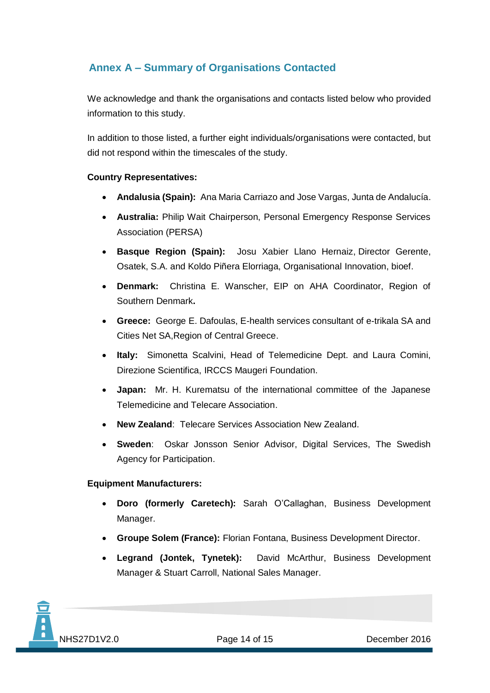# <span id="page-15-0"></span>**Annex A – Summary of Organisations Contacted**

We acknowledge and thank the organisations and contacts listed below who provided information to this study.

In addition to those listed, a further eight individuals/organisations were contacted, but did not respond within the timescales of the study.

#### **Country Representatives:**

- **Andalusia (Spain):** Ana Maria Carriazo and Jose Vargas, Junta de Andalucía.
- **Australia:** Philip Wait Chairperson, Personal Emergency Response Services Association (PERSA)
- **Basque Region (Spain):** Josu Xabier Llano Hernaiz, Director Gerente, Osatek, S.A. and Koldo Piñera Elorriaga, Organisational Innovation, bioef.
- **Denmark:** Christina E. Wanscher, EIP on AHA Coordinator, Region of Southern Denmark**.**
- **Greece:** George E. Dafoulas, E-health services consultant of e-trikala SA and Cities Net SA,Region of Central Greece.
- **Italy:** Simonetta Scalvini, Head of Telemedicine Dept. and Laura Comini, Direzione Scientifica, IRCCS Maugeri Foundation.
- **Japan:** Mr. H. Kurematsu of the international committee of the Japanese Telemedicine and Telecare Association.
- **New Zealand**: Telecare Services Association New Zealand.
- **Sweden**: Oskar Jonsson Senior Advisor, Digital Services, The Swedish Agency for Participation.

#### **Equipment Manufacturers:**

- **Doro (formerly Caretech):** Sarah O'Callaghan, Business Development Manager.
- **Groupe Solem (France):** Florian Fontana, Business Development Director.
- **Legrand (Jontek, Tynetek):** David McArthur, Business Development Manager & Stuart Carroll, National Sales Manager.